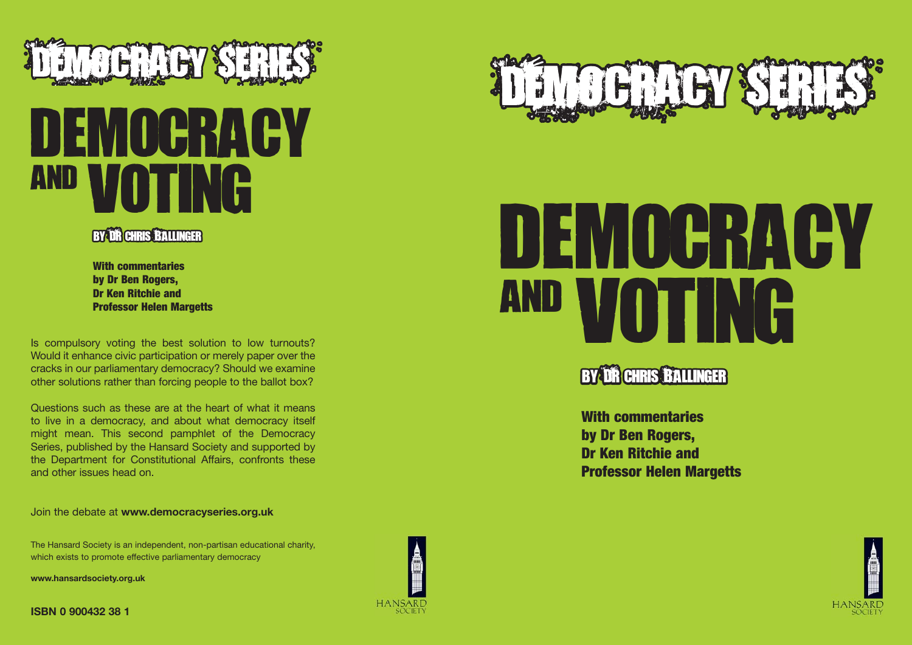

# DEMOCRACY and voting



**With commentaries by Dr Ben Rogers, Dr Ken Ritchie and Professor Helen Margetts**

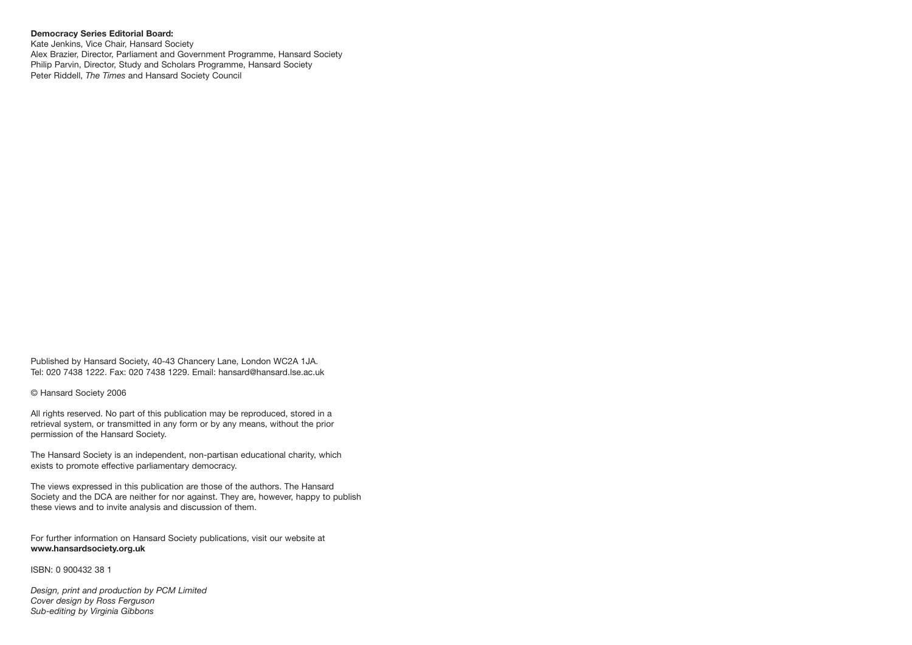#### **Democracy Series Editorial Board:**

Kate Jenkins, Vice Chair, Hansard Society Alex Brazier, Director, Parliament and Government Programme, Hansard Society Philip Parvin, Director, Study and Scholars Programme, Hansard Society Peter Riddell, *The Times* and Hansard Society Council

Published by Hansard Society, 40-43 Chancery Lane, London WC2A 1JA. Tel: 020 7438 1222. Fax: 020 7438 1229. Email: hansard@hansard.lse.ac.uk

© Hansard Society 2006

All rights reserved. No part of this publication may be reproduced, stored in a retrieval system, or transmitted in any form or by any means, without the prior permission of the Hansard Society.

The Hansard Society is an independent, non-partisan educational charity, which exists to promote effective parliamentary democracy.

The views expressed in this publication are those of the authors. The Hansard Society and the DCA are neither for nor against. They are, however, happy to publish these views and to invite analysis and discussion of them.

For further information on Hansard Society publications, visit our website at **www.hansardsociety.org.uk**

ISBN: 0 900432 38 1

*Design, print and production by PCM Limited Cover design by Ross Ferguson Sub-editing by Virginia Gibbons*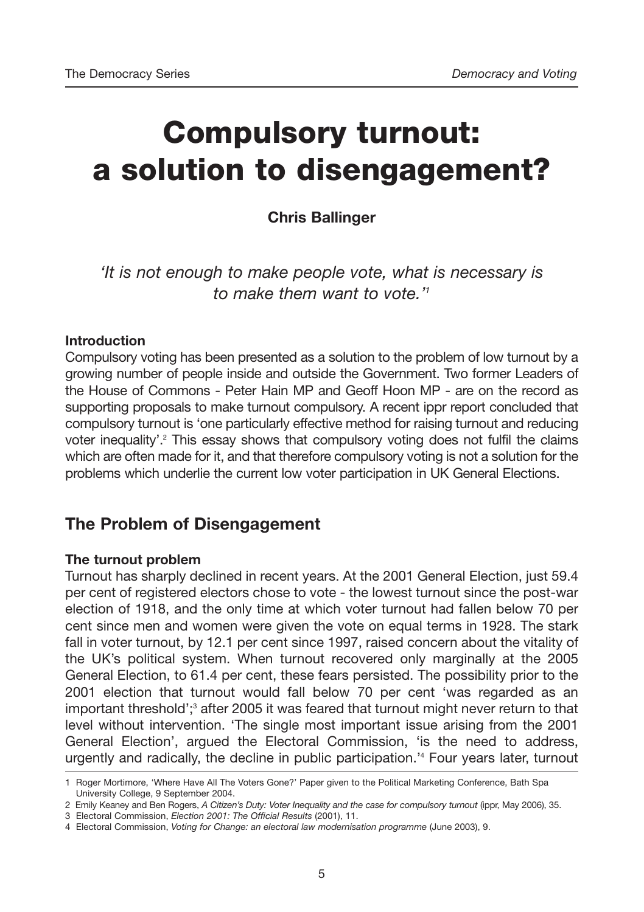# **Compulsory turnout: a solution to disengagement?**

#### **Chris Ballinger**

*'It is not enough to make people vote, what is necessary is to make them want to vote.'1*

#### **Introduction**

Compulsory voting has been presented as a solution to the problem of low turnout by a growing number of people inside and outside the Government. Two former Leaders of the House of Commons - Peter Hain MP and Geoff Hoon MP - are on the record as supporting proposals to make turnout compulsory. A recent ippr report concluded that compulsory turnout is 'one particularly effective method for raising turnout and reducing voter inequality'.2 This essay shows that compulsory voting does not fulfil the claims which are often made for it, and that therefore compulsory voting is not a solution for the problems which underlie the current low voter participation in UK General Elections.

#### **The Problem of Disengagement**

#### **The turnout problem**

Turnout has sharply declined in recent years. At the 2001 General Election, just 59.4 per cent of registered electors chose to vote - the lowest turnout since the post-war election of 1918, and the only time at which voter turnout had fallen below 70 per cent since men and women were given the vote on equal terms in 1928. The stark fall in voter turnout, by 12.1 per cent since 1997, raised concern about the vitality of the UK's political system. When turnout recovered only marginally at the 2005 General Election, to 61.4 per cent, these fears persisted. The possibility prior to the 2001 election that turnout would fall below 70 per cent 'was regarded as an important threshold';<sup>3</sup> after 2005 it was feared that turnout might never return to that level without intervention. 'The single most important issue arising from the 2001 General Election', argued the Electoral Commission, 'is the need to address, urgently and radically, the decline in public participation.'4 Four years later, turnout

<sup>1</sup> Roger Mortimore, 'Where Have All The Voters Gone?' Paper given to the Political Marketing Conference, Bath Spa University College, 9 September 2004.

<sup>2</sup> Emily Keaney and Ben Rogers, *A Citizen's Duty: Voter Inequality and the case for compulsory turnout* (ippr, May 2006), 35.

<sup>3</sup> Electoral Commission, *Election 2001: The Official Results* (2001), 11.

<sup>4</sup> Electoral Commission, *Voting for Change: an electoral law modernisation programme* (June 2003), 9.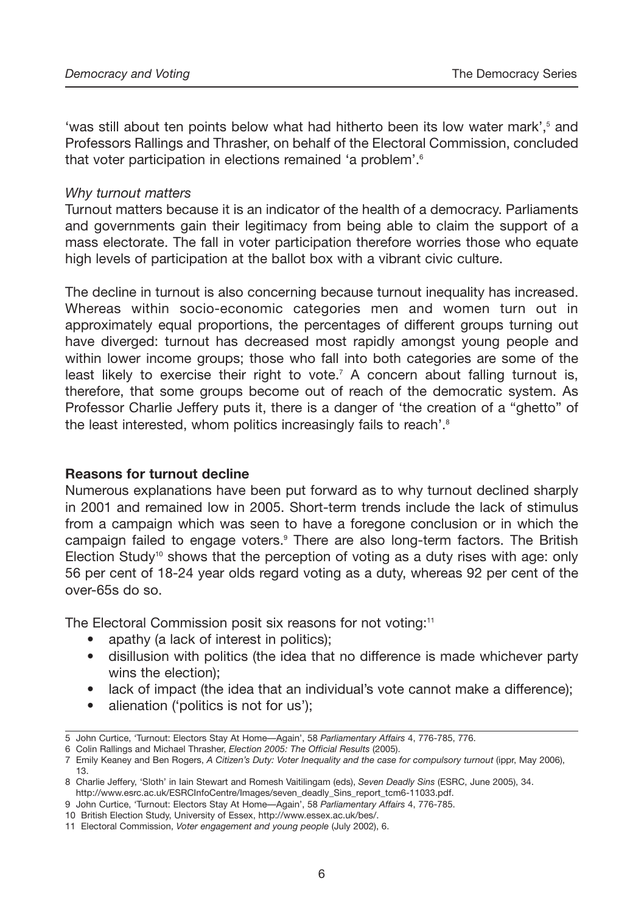'was still about ten points below what had hitherto been its low water mark',<sup>5</sup> and Professors Rallings and Thrasher, on behalf of the Electoral Commission, concluded that voter participation in elections remained 'a problem'.6

#### *Why turnout matters*

Turnout matters because it is an indicator of the health of a democracy. Parliaments and governments gain their legitimacy from being able to claim the support of a mass electorate. The fall in voter participation therefore worries those who equate high levels of participation at the ballot box with a vibrant civic culture.

The decline in turnout is also concerning because turnout inequality has increased. Whereas within socio-economic categories men and women turn out in approximately equal proportions, the percentages of different groups turning out have diverged: turnout has decreased most rapidly amongst young people and within lower income groups; those who fall into both categories are some of the least likely to exercise their right to vote.7 A concern about falling turnout is, therefore, that some groups become out of reach of the democratic system. As Professor Charlie Jeffery puts it, there is a danger of 'the creation of a "ghetto" of the least interested, whom politics increasingly fails to reach'.<sup>8</sup>

#### **Reasons for turnout decline**

Numerous explanations have been put forward as to why turnout declined sharply in 2001 and remained low in 2005. Short-term trends include the lack of stimulus from a campaign which was seen to have a foregone conclusion or in which the campaign failed to engage voters.9 There are also long-term factors. The British Election Study<sup>10</sup> shows that the perception of voting as a duty rises with age: only 56 per cent of 18-24 year olds regard voting as a duty, whereas 92 per cent of the over-65s do so.

The Electoral Commission posit six reasons for not voting:<sup>11</sup>

- apathy (a lack of interest in politics):
- disillusion with politics (the idea that no difference is made whichever party wins the election);
- lack of impact (the idea that an individual's vote cannot make a difference);
- alienation ('politics is not for us'):

<sup>5</sup> John Curtice, 'Turnout: Electors Stay At Home—Again', 58 *Parliamentary Affairs* 4, 776-785, 776.

<sup>6</sup> Colin Rallings and Michael Thrasher, *Election 2005: The Official Results* (2005).

<sup>7</sup> Emily Keaney and Ben Rogers, *A Citizen's Duty: Voter Inequality and the case for compulsory turnout* (ippr, May 2006), 13.

<sup>8</sup> Charlie Jeffery, 'Sloth' in Iain Stewart and Romesh Vaitilingam (eds), *Seven Deadly Sins* (ESRC, June 2005), 34. http://www.esrc.ac.uk/ESRCInfoCentre/Images/seven\_deadly\_Sins\_report\_tcm6-11033.pdf.

<sup>9</sup> John Curtice, 'Turnout: Electors Stay At Home—Again', 58 *Parliamentary Affairs* 4, 776-785.

<sup>10</sup> British Election Study, University of Essex, http://www.essex.ac.uk/bes/.

<sup>11</sup> Electoral Commission, *Voter engagement and young people* (July 2002), 6.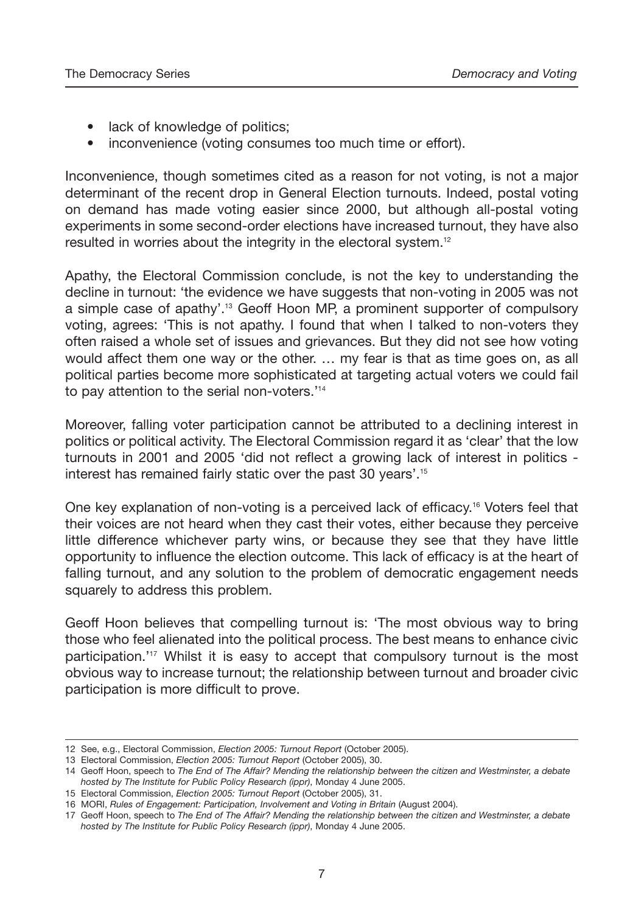- lack of knowledge of politics:
- inconvenience (voting consumes too much time or effort).

Inconvenience, though sometimes cited as a reason for not voting, is not a major determinant of the recent drop in General Election turnouts. Indeed, postal voting on demand has made voting easier since 2000, but although all-postal voting experiments in some second-order elections have increased turnout, they have also resulted in worries about the integrity in the electoral system.<sup>12</sup>

Apathy, the Electoral Commission conclude, is not the key to understanding the decline in turnout: 'the evidence we have suggests that non-voting in 2005 was not a simple case of apathy'.13 Geoff Hoon MP, a prominent supporter of compulsory voting, agrees: 'This is not apathy. I found that when I talked to non-voters they often raised a whole set of issues and grievances. But they did not see how voting would affect them one way or the other. … my fear is that as time goes on, as all political parties become more sophisticated at targeting actual voters we could fail to pay attention to the serial non-voters.<sup>'14</sup>

Moreover, falling voter participation cannot be attributed to a declining interest in politics or political activity. The Electoral Commission regard it as 'clear' that the low turnouts in 2001 and 2005 'did not reflect a growing lack of interest in politics interest has remained fairly static over the past 30 years'.15

One key explanation of non-voting is a perceived lack of efficacy.16 Voters feel that their voices are not heard when they cast their votes, either because they perceive little difference whichever party wins, or because they see that they have little opportunity to influence the election outcome. This lack of efficacy is at the heart of falling turnout, and any solution to the problem of democratic engagement needs squarely to address this problem.

Geoff Hoon believes that compelling turnout is: 'The most obvious way to bring those who feel alienated into the political process. The best means to enhance civic participation.'<sup>17</sup> Whilst it is easy to accept that compulsory turnout is the most obvious way to increase turnout; the relationship between turnout and broader civic participation is more difficult to prove.

<sup>12</sup> See, e.g., Electoral Commission, *Election 2005: Turnout Report* (October 2005).

<sup>13</sup> Electoral Commission, *Election 2005: Turnout Report* (October 2005), 30.

<sup>14</sup> Geoff Hoon, speech to *The End of The Affair? Mending the relationship between the citizen and Westminster, a debate hosted by The Institute for Public Policy Research (ippr)*, Monday 4 June 2005.

<sup>15</sup> Electoral Commission, *Election 2005: Turnout Report* (October 2005), 31.

<sup>16</sup> MORI, *Rules of Engagement: Participation, Involvement and Voting in Britain* (August 2004).

<sup>17</sup> Geoff Hoon, speech to *The End of The Affair? Mending the relationship between the citizen and Westminster, a debate hosted by The Institute for Public Policy Research (ippr)*, Monday 4 June 2005.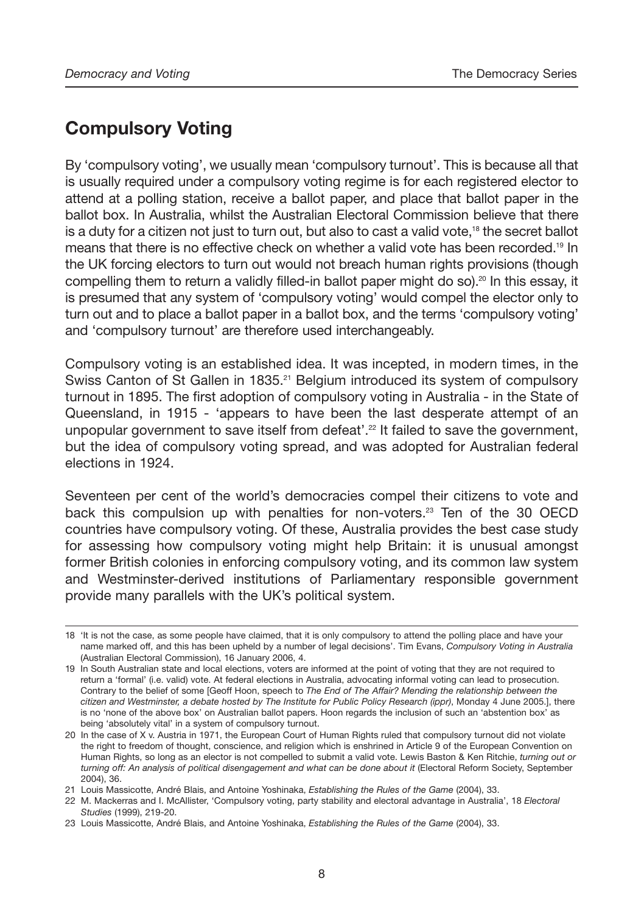# **Compulsory Voting**

By 'compulsory voting', we usually mean 'compulsory turnout'. This is because all that is usually required under a compulsory voting regime is for each registered elector to attend at a polling station, receive a ballot paper, and place that ballot paper in the ballot box. In Australia, whilst the Australian Electoral Commission believe that there is a duty for a citizen not just to turn out, but also to cast a valid vote,<sup>18</sup> the secret ballot means that there is no effective check on whether a valid vote has been recorded.19 In the UK forcing electors to turn out would not breach human rights provisions (though compelling them to return a validly filled-in ballot paper might do so).<sup>20</sup> In this essay, it is presumed that any system of 'compulsory voting' would compel the elector only to turn out and to place a ballot paper in a ballot box, and the terms 'compulsory voting' and 'compulsory turnout' are therefore used interchangeably.

Compulsory voting is an established idea. It was incepted, in modern times, in the Swiss Canton of St Gallen in 1835.<sup>21</sup> Belgium introduced its system of compulsory turnout in 1895. The first adoption of compulsory voting in Australia - in the State of Queensland, in 1915 - 'appears to have been the last desperate attempt of an unpopular government to save itself from defeat'.<sup>22</sup> It failed to save the government, but the idea of compulsory voting spread, and was adopted for Australian federal elections in 1924.

Seventeen per cent of the world's democracies compel their citizens to vote and back this compulsion up with penalties for non-voters.<sup>23</sup> Ten of the 30 OECD countries have compulsory voting. Of these, Australia provides the best case study for assessing how compulsory voting might help Britain: it is unusual amongst former British colonies in enforcing compulsory voting, and its common law system and Westminster-derived institutions of Parliamentary responsible government provide many parallels with the UK's political system.

<sup>18</sup> 'It is not the case, as some people have claimed, that it is only compulsory to attend the polling place and have your name marked off, and this has been upheld by a number of legal decisions'. Tim Evans, *Compulsory Voting in Australia* (Australian Electoral Commission), 16 January 2006, 4.

<sup>19</sup> In South Australian state and local elections, voters are informed at the point of voting that they are not required to return a 'formal' (i.e. valid) vote. At federal elections in Australia, advocating informal voting can lead to prosecution. Contrary to the belief of some [Geoff Hoon, speech to *The End of The Affair? Mending the relationship between the citizen and Westminster, a debate hosted by The Institute for Public Policy Research (ippr)*, Monday 4 June 2005.], there is no 'none of the above box' on Australian ballot papers. Hoon regards the inclusion of such an 'abstention box' as being 'absolutely vital' in a system of compulsory turnout.

<sup>20</sup> In the case of X v. Austria in 1971, the European Court of Human Rights ruled that compulsory turnout did not violate the right to freedom of thought, conscience, and religion which is enshrined in Article 9 of the European Convention on Human Rights, so long as an elector is not compelled to submit a valid vote. Lewis Baston & Ken Ritchie, *turning out or turning off: An analysis of political disengagement and what can be done about it (Electoral Reform Society, September* 2004), 36.

<sup>21</sup> Louis Massicotte, André Blais, and Antoine Yoshinaka, *Establishing the Rules of the Game* (2004), 33.

<sup>22</sup> M. Mackerras and I. McAllister, 'Compulsory voting, party stability and electoral advantage in Australia', 18 *Electoral Studies* (1999), 219-20.

<sup>23</sup> Louis Massicotte, André Blais, and Antoine Yoshinaka, *Establishing the Rules of the Game* (2004), 33.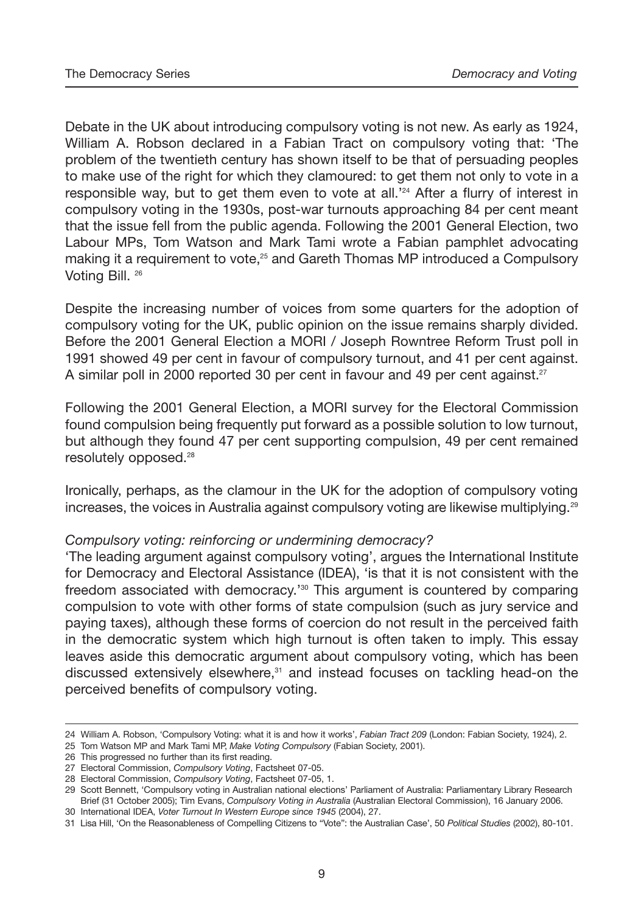Debate in the UK about introducing compulsory voting is not new. As early as 1924, William A. Robson declared in a Fabian Tract on compulsory voting that: 'The problem of the twentieth century has shown itself to be that of persuading peoples to make use of the right for which they clamoured: to get them not only to vote in a responsible way, but to get them even to vote at all.<sup> $24$ </sup> After a flurry of interest in compulsory voting in the 1930s, post-war turnouts approaching 84 per cent meant that the issue fell from the public agenda. Following the 2001 General Election, two Labour MPs, Tom Watson and Mark Tami wrote a Fabian pamphlet advocating making it a requirement to vote,<sup>25</sup> and Gareth Thomas MP introduced a Compulsory Voting Bill. <sup>26</sup>

Despite the increasing number of voices from some quarters for the adoption of compulsory voting for the UK, public opinion on the issue remains sharply divided. Before the 2001 General Election a MORI / Joseph Rowntree Reform Trust poll in 1991 showed 49 per cent in favour of compulsory turnout, and 41 per cent against. A similar poll in 2000 reported 30 per cent in favour and 49 per cent against.<sup>27</sup>

Following the 2001 General Election, a MORI survey for the Electoral Commission found compulsion being frequently put forward as a possible solution to low turnout, but although they found 47 per cent supporting compulsion, 49 per cent remained resolutely opposed.28

Ironically, perhaps, as the clamour in the UK for the adoption of compulsory voting increases, the voices in Australia against compulsory voting are likewise multiplying.<sup>29</sup>

#### *Compulsory voting: reinforcing or undermining democracy?*

'The leading argument against compulsory voting', argues the International Institute for Democracy and Electoral Assistance (IDEA), 'is that it is not consistent with the freedom associated with democracy.'30 This argument is countered by comparing compulsion to vote with other forms of state compulsion (such as jury service and paying taxes), although these forms of coercion do not result in the perceived faith in the democratic system which high turnout is often taken to imply. This essay leaves aside this democratic argument about compulsory voting, which has been discussed extensively elsewhere,<sup>31</sup> and instead focuses on tackling head-on the perceived benefits of compulsory voting.

<sup>24</sup> William A. Robson, 'Compulsory Voting: what it is and how it works', *Fabian Tract 209* (London: Fabian Society, 1924), 2.

<sup>25</sup> Tom Watson MP and Mark Tami MP, *Make Voting Compulsory* (Fabian Society, 2001).

<sup>26</sup> This progressed no further than its first reading.

<sup>27</sup> Electoral Commission, *Compulsory Voting*, Factsheet 07-05.

<sup>28</sup> Electoral Commission, *Compulsory Voting*, Factsheet 07-05, 1.

<sup>29</sup> Scott Bennett, 'Compulsory voting in Australian national elections' Parliament of Australia: Parliamentary Library Research Brief (31 October 2005); Tim Evans, *Compulsory Voting in Australia* (Australian Electoral Commission), 16 January 2006. 30 International IDEA, *Voter Turnout In Western Europe since 1945* (2004), 27.

<sup>31</sup> Lisa Hill, 'On the Reasonableness of Compelling Citizens to "Vote": the Australian Case', 50 *Political Studies* (2002), 80-101.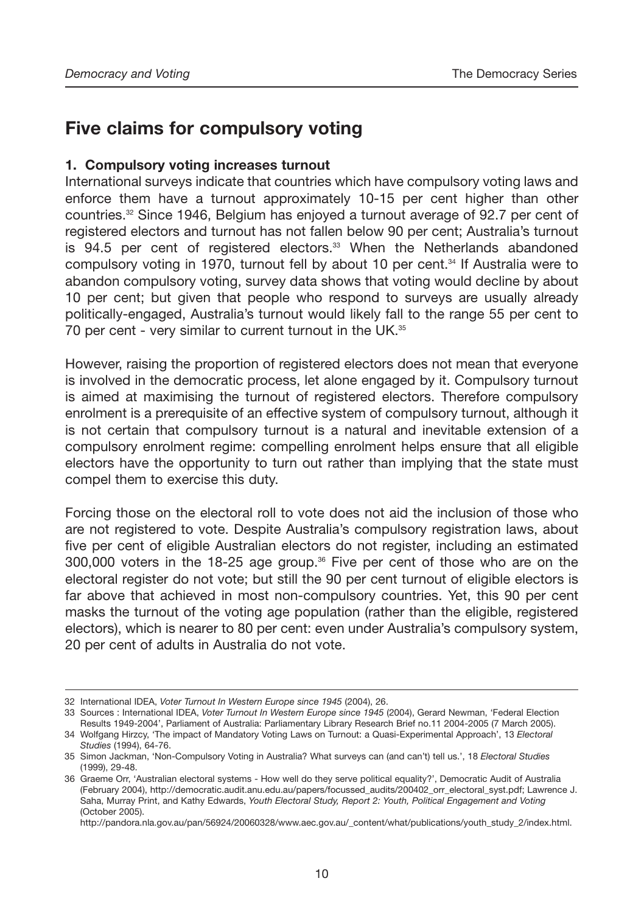# **Five claims for compulsory voting**

#### **1. Compulsory voting increases turnout**

International surveys indicate that countries which have compulsory voting laws and enforce them have a turnout approximately 10-15 per cent higher than other countries.<sup>32</sup> Since 1946, Belgium has enjoyed a turnout average of 92.7 per cent of registered electors and turnout has not fallen below 90 per cent; Australia's turnout is  $94.5$  per cent of registered electors. $33$  When the Netherlands abandoned compulsory voting in 1970, turnout fell by about 10 per cent.34 If Australia were to abandon compulsory voting, survey data shows that voting would decline by about 10 per cent; but given that people who respond to surveys are usually already politically-engaged, Australia's turnout would likely fall to the range 55 per cent to 70 per cent - very similar to current turnout in the UK.<sup>35</sup>

However, raising the proportion of registered electors does not mean that everyone is involved in the democratic process, let alone engaged by it. Compulsory turnout is aimed at maximising the turnout of registered electors. Therefore compulsory enrolment is a prerequisite of an effective system of compulsory turnout, although it is not certain that compulsory turnout is a natural and inevitable extension of a compulsory enrolment regime: compelling enrolment helps ensure that all eligible electors have the opportunity to turn out rather than implying that the state must compel them to exercise this duty.

Forcing those on the electoral roll to vote does not aid the inclusion of those who are not registered to vote. Despite Australia's compulsory registration laws, about five per cent of eligible Australian electors do not register, including an estimated  $300,000$  voters in the 18-25 age group.<sup>36</sup> Five per cent of those who are on the electoral register do not vote; but still the 90 per cent turnout of eligible electors is far above that achieved in most non-compulsory countries. Yet, this 90 per cent masks the turnout of the voting age population (rather than the eligible, registered electors), which is nearer to 80 per cent: even under Australia's compulsory system, 20 per cent of adults in Australia do not vote.

<sup>32</sup> International IDEA, *Voter Turnout In Western Europe since 1945* (2004), 26.

<sup>33</sup> Sources : International IDEA, *Voter Turnout In Western Europe since 1945* (2004), Gerard Newman, 'Federal Election Results 1949-2004', Parliament of Australia: Parliamentary Library Research Brief no.11 2004-2005 (7 March 2005).

<sup>34</sup> Wolfgang Hirzcy, 'The impact of Mandatory Voting Laws on Turnout: a Quasi-Experimental Approach', 13 *Electoral Studies* (1994), 64-76.

<sup>35</sup> Simon Jackman, 'Non-Compulsory Voting in Australia? What surveys can (and can't) tell us.', 18 *Electoral Studies* (1999), 29-48.

<sup>36</sup> Graeme Orr, 'Australian electoral systems - How well do they serve political equality?', Democratic Audit of Australia (February 2004), http://democratic.audit.anu.edu.au/papers/focussed\_audits/200402\_orr\_electoral\_syst.pdf; Lawrence J. Saha, Murray Print, and Kathy Edwards, *Youth Electoral Study, Report 2: Youth, Political Engagement and Voting* (October 2005).

http://pandora.nla.gov.au/pan/56924/20060328/www.aec.gov.au/\_content/what/publications/youth\_study\_2/index.html.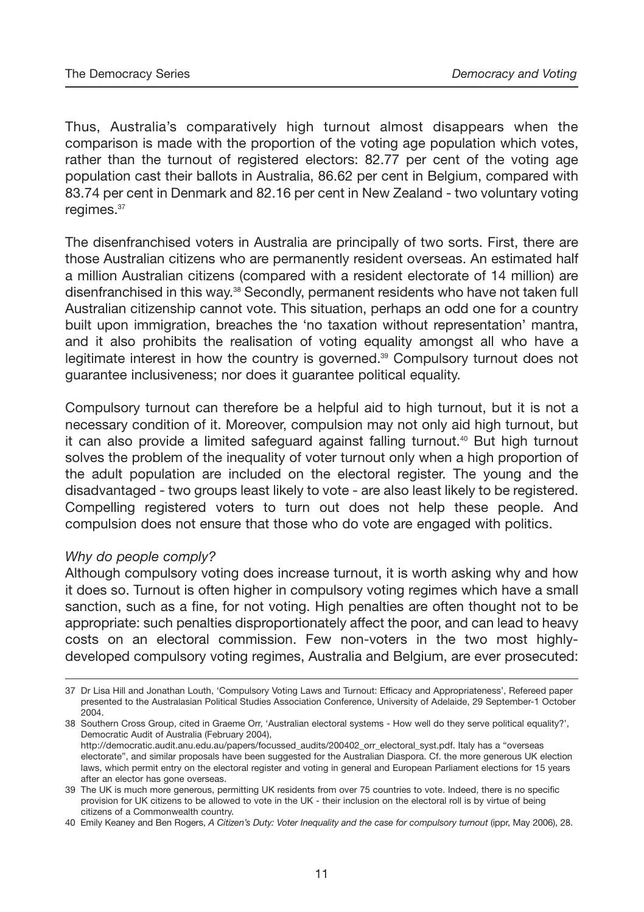Thus, Australia's comparatively high turnout almost disappears when the comparison is made with the proportion of the voting age population which votes, rather than the turnout of registered electors: 82.77 per cent of the voting age population cast their ballots in Australia, 86.62 per cent in Belgium, compared with 83.74 per cent in Denmark and 82.16 per cent in New Zealand - two voluntary voting regimes.<sup>37</sup>

The disenfranchised voters in Australia are principally of two sorts. First, there are those Australian citizens who are permanently resident overseas. An estimated half a million Australian citizens (compared with a resident electorate of 14 million) are disenfranchised in this way.<sup>38</sup> Secondly, permanent residents who have not taken full Australian citizenship cannot vote. This situation, perhaps an odd one for a country built upon immigration, breaches the 'no taxation without representation' mantra, and it also prohibits the realisation of voting equality amongst all who have a legitimate interest in how the country is governed.39 Compulsory turnout does not guarantee inclusiveness; nor does it guarantee political equality.

Compulsory turnout can therefore be a helpful aid to high turnout, but it is not a necessary condition of it. Moreover, compulsion may not only aid high turnout, but it can also provide a limited safeguard against falling turnout.<sup>40</sup> But high turnout solves the problem of the inequality of voter turnout only when a high proportion of the adult population are included on the electoral register. The young and the disadvantaged - two groups least likely to vote - are also least likely to be registered. Compelling registered voters to turn out does not help these people. And compulsion does not ensure that those who do vote are engaged with politics.

#### *Why do people comply?*

Although compulsory voting does increase turnout, it is worth asking why and how it does so. Turnout is often higher in compulsory voting regimes which have a small sanction, such as a fine, for not voting. High penalties are often thought not to be appropriate: such penalties disproportionately affect the poor, and can lead to heavy costs on an electoral commission. Few non-voters in the two most highlydeveloped compulsory voting regimes, Australia and Belgium, are ever prosecuted:

<sup>37</sup> Dr Lisa Hill and Jonathan Louth, 'Compulsory Voting Laws and Turnout: Efficacy and Appropriateness', Refereed paper presented to the Australasian Political Studies Association Conference, University of Adelaide, 29 September-1 October 2004.

<sup>38</sup> Southern Cross Group, cited in Graeme Orr, 'Australian electoral systems - How well do they serve political equality?', Democratic Audit of Australia (February 2004),

http://democratic.audit.anu.edu.au/papers/focussed\_audits/200402\_orr\_electoral\_syst.pdf. Italy has a "overseas electorate", and similar proposals have been suggested for the Australian Diaspora. Cf. the more generous UK election laws, which permit entry on the electoral register and voting in general and European Parliament elections for 15 years after an elector has gone overseas.

<sup>39</sup> The UK is much more generous, permitting UK residents from over 75 countries to vote. Indeed, there is no specific provision for UK citizens to be allowed to vote in the UK - their inclusion on the electoral roll is by virtue of being citizens of a Commonwealth country.

<sup>40</sup> Emily Keaney and Ben Rogers, *A Citizen's Duty: Voter Inequality and the case for compulsory turnout* (ippr, May 2006), 28.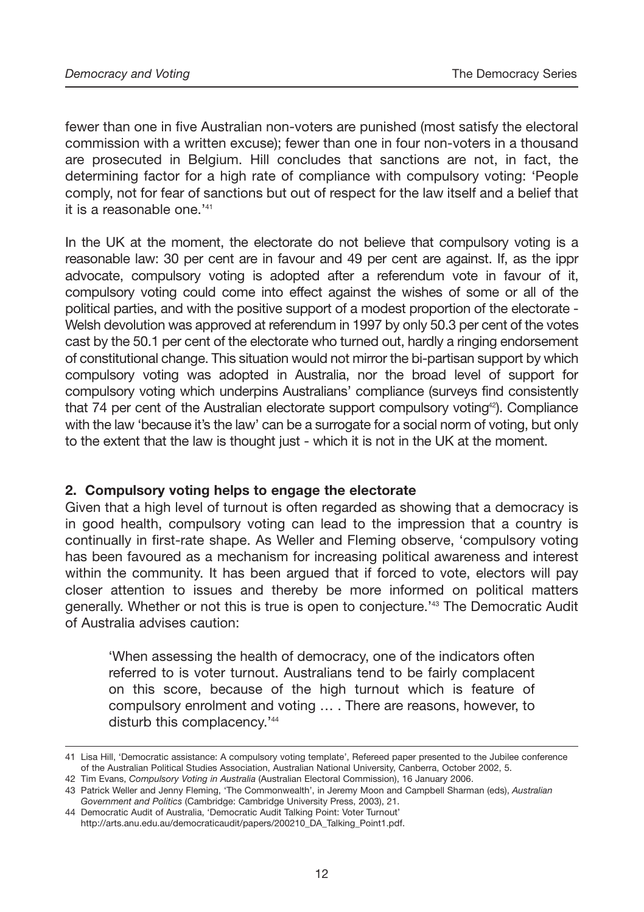fewer than one in five Australian non-voters are punished (most satisfy the electoral commission with a written excuse); fewer than one in four non-voters in a thousand are prosecuted in Belgium. Hill concludes that sanctions are not, in fact, the determining factor for a high rate of compliance with compulsory voting: 'People comply, not for fear of sanctions but out of respect for the law itself and a belief that it is a reasonable one.<sup>'41</sup>

In the UK at the moment, the electorate do not believe that compulsory voting is a reasonable law: 30 per cent are in favour and 49 per cent are against. If, as the ippr advocate, compulsory voting is adopted after a referendum vote in favour of it, compulsory voting could come into effect against the wishes of some or all of the political parties, and with the positive support of a modest proportion of the electorate - Welsh devolution was approved at referendum in 1997 by only 50.3 per cent of the votes cast by the 50.1 per cent of the electorate who turned out, hardly a ringing endorsement of constitutional change. This situation would not mirror the bi-partisan support by which compulsory voting was adopted in Australia, nor the broad level of support for compulsory voting which underpins Australians' compliance (surveys find consistently that 74 per cent of the Australian electorate support compulsory voting<sup>42</sup>). Compliance with the law 'because it's the law' can be a surrogate for a social norm of voting, but only to the extent that the law is thought just - which it is not in the UK at the moment.

#### **2. Compulsory voting helps to engage the electorate**

Given that a high level of turnout is often regarded as showing that a democracy is in good health, compulsory voting can lead to the impression that a country is continually in first-rate shape. As Weller and Fleming observe, 'compulsory voting has been favoured as a mechanism for increasing political awareness and interest within the community. It has been argued that if forced to vote, electors will pay closer attention to issues and thereby be more informed on political matters generally. Whether or not this is true is open to conjecture.'43 The Democratic Audit of Australia advises caution:

'When assessing the health of democracy, one of the indicators often referred to is voter turnout. Australians tend to be fairly complacent on this score, because of the high turnout which is feature of compulsory enrolment and voting … . There are reasons, however, to disturb this complacency.<sup>'44</sup>

<sup>41</sup> Lisa Hill, 'Democratic assistance: A compulsory voting template', Refereed paper presented to the Jubilee conference of the Australian Political Studies Association, Australian National University, Canberra, October 2002, 5.

<sup>42</sup> Tim Evans, *Compulsory Voting in Australia* (Australian Electoral Commission), 16 January 2006.

<sup>43</sup> Patrick Weller and Jenny Fleming, 'The Commonwealth', in Jeremy Moon and Campbell Sharman (eds), *Australian Government and Politics* (Cambridge: Cambridge University Press, 2003), 21.

<sup>44</sup> Democratic Audit of Australia, 'Democratic Audit Talking Point: Voter Turnout' http://arts.anu.edu.au/democraticaudit/papers/200210\_DA\_Talking\_Point1.pdf.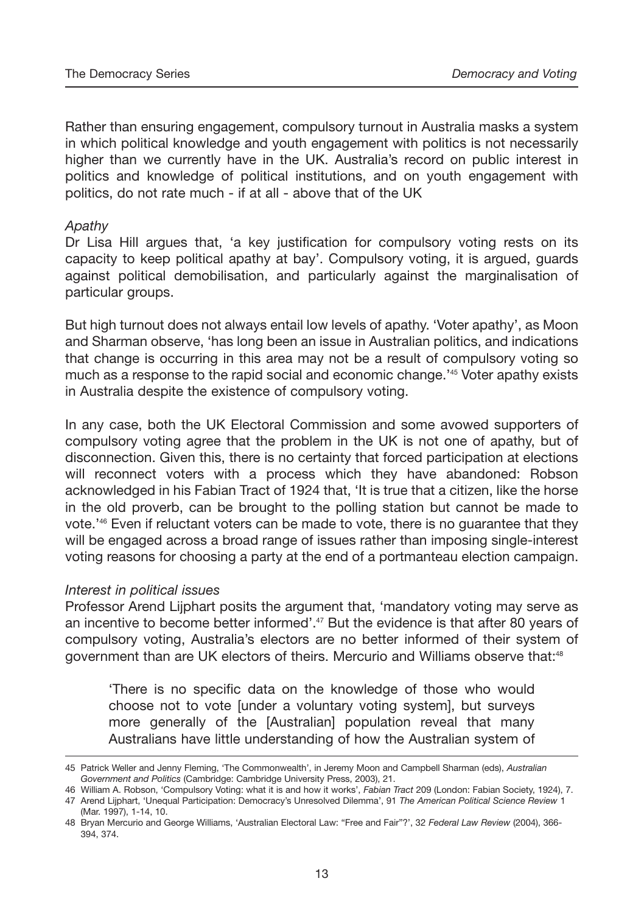Rather than ensuring engagement, compulsory turnout in Australia masks a system in which political knowledge and youth engagement with politics is not necessarily higher than we currently have in the UK. Australia's record on public interest in politics and knowledge of political institutions, and on youth engagement with politics, do not rate much - if at all - above that of the UK

#### *Apathy*

Dr Lisa Hill argues that, 'a key justification for compulsory voting rests on its capacity to keep political apathy at bay'. Compulsory voting, it is argued, guards against political demobilisation, and particularly against the marginalisation of particular groups.

But high turnout does not always entail low levels of apathy. 'Voter apathy', as Moon and Sharman observe, 'has long been an issue in Australian politics, and indications that change is occurring in this area may not be a result of compulsory voting so much as a response to the rapid social and economic change.'45 Voter apathy exists in Australia despite the existence of compulsory voting.

In any case, both the UK Electoral Commission and some avowed supporters of compulsory voting agree that the problem in the UK is not one of apathy, but of disconnection. Given this, there is no certainty that forced participation at elections will reconnect voters with a process which they have abandoned: Robson acknowledged in his Fabian Tract of 1924 that, 'It is true that a citizen, like the horse in the old proverb, can be brought to the polling station but cannot be made to vote.'46 Even if reluctant voters can be made to vote, there is no guarantee that they will be engaged across a broad range of issues rather than imposing single-interest voting reasons for choosing a party at the end of a portmanteau election campaign.

#### *Interest in political issues*

Professor Arend Lijphart posits the argument that, 'mandatory voting may serve as an incentive to become better informed'.47 But the evidence is that after 80 years of compulsory voting, Australia's electors are no better informed of their system of government than are UK electors of theirs. Mercurio and Williams observe that:<sup>48</sup>

'There is no specific data on the knowledge of those who would choose not to vote [under a voluntary voting system], but surveys more generally of the [Australian] population reveal that many Australians have little understanding of how the Australian system of

<sup>45</sup> Patrick Weller and Jenny Fleming, 'The Commonwealth', in Jeremy Moon and Campbell Sharman (eds), *Australian Government and Politics* (Cambridge: Cambridge University Press, 2003), 21.

<sup>46</sup> William A. Robson, 'Compulsory Voting: what it is and how it works', *Fabian Tract* 209 (London: Fabian Society, 1924), 7. 47 Arend Lijphart, 'Unequal Participation: Democracy's Unresolved Dilemma', 91 *The American Political Science Review* 1 (Mar. 1997), 1-14, 10.

<sup>48</sup> Bryan Mercurio and George Williams, 'Australian Electoral Law: "Free and Fair"?', 32 *Federal Law Review* (2004), 366- 394, 374.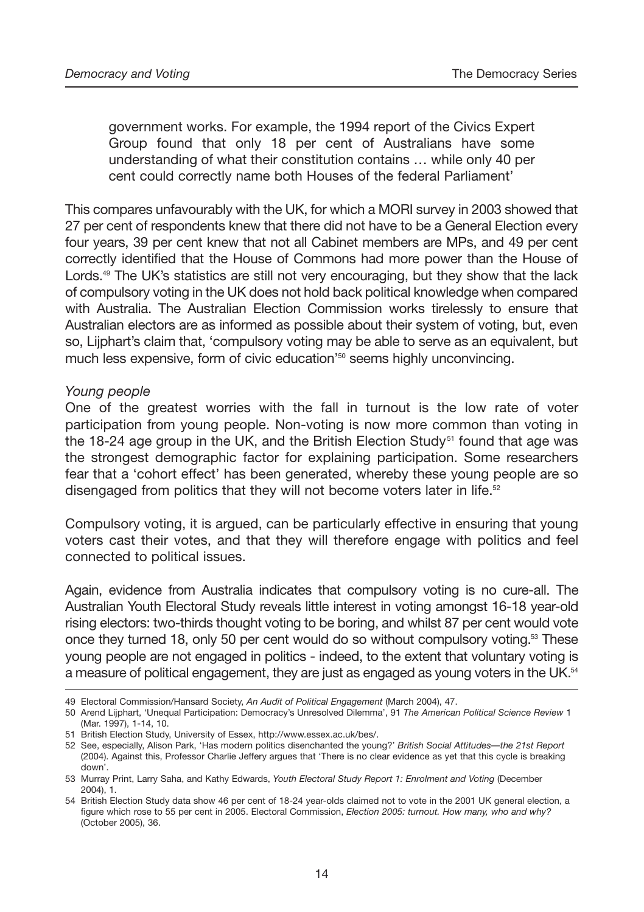government works. For example, the 1994 report of the Civics Expert Group found that only 18 per cent of Australians have some understanding of what their constitution contains … while only 40 per cent could correctly name both Houses of the federal Parliament'

This compares unfavourably with the UK, for which a MORI survey in 2003 showed that 27 per cent of respondents knew that there did not have to be a General Election every four years, 39 per cent knew that not all Cabinet members are MPs, and 49 per cent correctly identified that the House of Commons had more power than the House of Lords.<sup>49</sup> The UK's statistics are still not very encouraging, but they show that the lack of compulsory voting in the UK does not hold back political knowledge when compared with Australia. The Australian Election Commission works tirelessly to ensure that Australian electors are as informed as possible about their system of voting, but, even so, Lijphart's claim that, 'compulsory voting may be able to serve as an equivalent, but much less expensive, form of civic education<sup>'50</sup> seems highly unconvincing.

#### *Young people*

One of the greatest worries with the fall in turnout is the low rate of voter participation from young people. Non-voting is now more common than voting in the 18-24 age group in the UK, and the British Election Study<sup>51</sup> found that age was the strongest demographic factor for explaining participation. Some researchers fear that a 'cohort effect' has been generated, whereby these young people are so disengaged from politics that they will not become voters later in life.<sup>52</sup>

Compulsory voting, it is argued, can be particularly effective in ensuring that young voters cast their votes, and that they will therefore engage with politics and feel connected to political issues.

Again, evidence from Australia indicates that compulsory voting is no cure-all. The Australian Youth Electoral Study reveals little interest in voting amongst 16-18 year-old rising electors: two-thirds thought voting to be boring, and whilst 87 per cent would vote once they turned 18, only 50 per cent would do so without compulsory voting.<sup>53</sup> These young people are not engaged in politics - indeed, to the extent that voluntary voting is a measure of political engagement, they are just as engaged as young voters in the UK.<sup>54</sup>

<sup>49</sup> Electoral Commission/Hansard Society, *An Audit of Political Engagement* (March 2004), 47.

<sup>50</sup> Arend Lijphart, 'Unequal Participation: Democracy's Unresolved Dilemma', 91 *The American Political Science Review* 1 (Mar. 1997), 1-14, 10.

<sup>51</sup> British Election Study, University of Essex, http://www.essex.ac.uk/bes/.

<sup>52</sup> See, especially, Alison Park, 'Has modern politics disenchanted the young?' *British Social Attitudes—the 21st Report* (2004). Against this, Professor Charlie Jeffery argues that 'There is no clear evidence as yet that this cycle is breaking down'.

<sup>53</sup> Murray Print, Larry Saha, and Kathy Edwards, *Youth Electoral Study Report 1: Enrolment and Voting* (December 2004), 1.

<sup>54</sup> British Election Study data show 46 per cent of 18-24 year-olds claimed not to vote in the 2001 UK general election, a figure which rose to 55 per cent in 2005. Electoral Commission, *Election 2005: turnout. How many, who and why?* (October 2005), 36.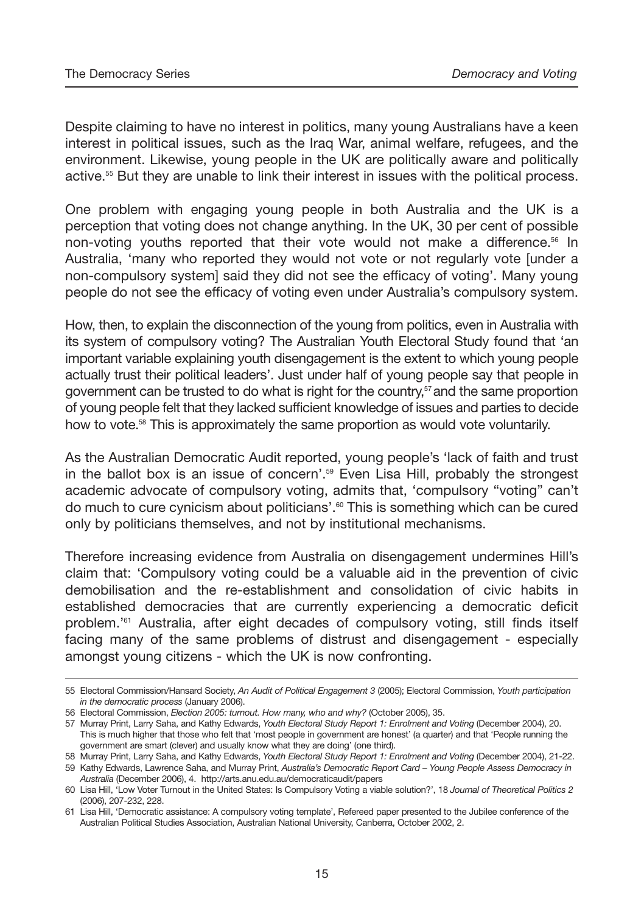Despite claiming to have no interest in politics, many young Australians have a keen interest in political issues, such as the Iraq War, animal welfare, refugees, and the environment. Likewise, young people in the UK are politically aware and politically active.55 But they are unable to link their interest in issues with the political process.

One problem with engaging young people in both Australia and the UK is a perception that voting does not change anything. In the UK, 30 per cent of possible non-voting youths reported that their vote would not make a difference.56 In Australia, 'many who reported they would not vote or not regularly vote [under a non-compulsory system] said they did not see the efficacy of voting'. Many young people do not see the efficacy of voting even under Australia's compulsory system.

How, then, to explain the disconnection of the young from politics, even in Australia with its system of compulsory voting? The Australian Youth Electoral Study found that 'an important variable explaining youth disengagement is the extent to which young people actually trust their political leaders'. Just under half of young people say that people in government can be trusted to do what is right for the country,<sup>s7</sup> and the same proportion of young people felt that they lacked sufficient knowledge of issues and parties to decide how to vote.<sup>58</sup> This is approximately the same proportion as would vote voluntarily.

As the Australian Democratic Audit reported, young people's 'lack of faith and trust in the ballot box is an issue of concern'.59 Even Lisa Hill, probably the strongest academic advocate of compulsory voting, admits that, 'compulsory "voting" can't do much to cure cynicism about politicians'.<sup>60</sup> This is something which can be cured only by politicians themselves, and not by institutional mechanisms.

Therefore increasing evidence from Australia on disengagement undermines Hill's claim that: 'Compulsory voting could be a valuable aid in the prevention of civic demobilisation and the re-establishment and consolidation of civic habits in established democracies that are currently experiencing a democratic deficit problem.'61 Australia, after eight decades of compulsory voting, still finds itself facing many of the same problems of distrust and disengagement - especially amongst young citizens - which the UK is now confronting.

<sup>55</sup> Electoral Commission/Hansard Society, *An Audit of Political Engagement 3* (2005); Electoral Commission, *Youth participation in the democratic process* (January 2006).

<sup>56</sup> Electoral Commission, *Election 2005: turnout. How many, who and why?* (October 2005), 35.

<sup>57</sup> Murray Print, Larry Saha, and Kathy Edwards, *Youth Electoral Study Report 1: Enrolment and Voting* (December 2004), 20. This is much higher that those who felt that 'most people in government are honest' (a quarter) and that 'People running the government are smart (clever) and usually know what they are doing' (one third).

<sup>58</sup> Murray Print, Larry Saha, and Kathy Edwards, *Youth Electoral Study Report 1: Enrolment and Voting* (December 2004), 21-22. 59 Kathy Edwards, Lawrence Saha, and Murray Print, *Australia's Democratic Report Card – Young People Assess Democracy in Australia* (December 2006), 4. http://arts.anu.edu.au/democraticaudit/papers

<sup>60</sup> Lisa Hill, 'Low Voter Turnout in the United States: Is Compulsory Voting a viable solution?', 18 *Journal of Theoretical Politics 2* (2006), 207-232, 228.

<sup>61</sup> Lisa Hill, 'Democratic assistance: A compulsory voting template', Refereed paper presented to the Jubilee conference of the Australian Political Studies Association, Australian National University, Canberra, October 2002, 2.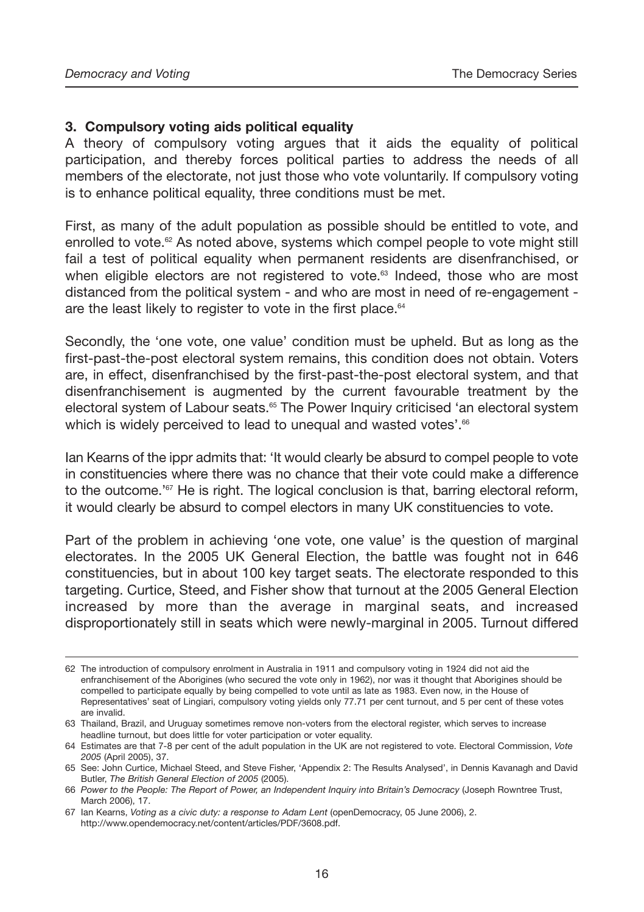#### **3. Compulsory voting aids political equality**

A theory of compulsory voting argues that it aids the equality of political participation, and thereby forces political parties to address the needs of all members of the electorate, not just those who vote voluntarily. If compulsory voting is to enhance political equality, three conditions must be met.

First, as many of the adult population as possible should be entitled to vote, and enrolled to vote.<sup> $62$ </sup> As noted above, systems which compel people to vote might still fail a test of political equality when permanent residents are disenfranchised, or when eligible electors are not registered to vote.<sup>63</sup> Indeed, those who are most distanced from the political system - and who are most in need of re-engagement are the least likely to register to vote in the first place.<sup>64</sup>

Secondly, the 'one vote, one value' condition must be upheld. But as long as the first-past-the-post electoral system remains, this condition does not obtain. Voters are, in effect, disenfranchised by the first-past-the-post electoral system, and that disenfranchisement is augmented by the current favourable treatment by the electoral system of Labour seats.<sup>65</sup> The Power Inquiry criticised 'an electoral system which is widely perceived to lead to unequal and wasted votes'.<sup>66</sup>

Ian Kearns of the ippr admits that: 'It would clearly be absurd to compel people to vote in constituencies where there was no chance that their vote could make a difference to the outcome.<sup>167</sup> He is right. The logical conclusion is that, barring electoral reform, it would clearly be absurd to compel electors in many UK constituencies to vote.

Part of the problem in achieving 'one vote, one value' is the question of marginal electorates. In the 2005 UK General Election, the battle was fought not in 646 constituencies, but in about 100 key target seats. The electorate responded to this targeting. Curtice, Steed, and Fisher show that turnout at the 2005 General Election increased by more than the average in marginal seats, and increased disproportionately still in seats which were newly-marginal in 2005. Turnout differed

<sup>62</sup> The introduction of compulsory enrolment in Australia in 1911 and compulsory voting in 1924 did not aid the enfranchisement of the Aborigines (who secured the vote only in 1962), nor was it thought that Aborigines should be compelled to participate equally by being compelled to vote until as late as 1983. Even now, in the House of Representatives' seat of Lingiari, compulsory voting yields only 77.71 per cent turnout, and 5 per cent of these votes are invalid.

<sup>63</sup> Thailand, Brazil, and Uruguay sometimes remove non-voters from the electoral register, which serves to increase headline turnout, but does little for voter participation or voter equality.

<sup>64</sup> Estimates are that 7-8 per cent of the adult population in the UK are not registered to vote. Electoral Commission, *Vote 2005* (April 2005), 37.

<sup>65</sup> See: John Curtice, Michael Steed, and Steve Fisher, 'Appendix 2: The Results Analysed', in Dennis Kavanagh and David Butler, *The British General Election of 2005* (2005).

<sup>66</sup> *Power to the People: The Report of Power, an Independent Inquiry into Britain's Democracy* (Joseph Rowntree Trust, March 2006), 17.

<sup>67</sup> Ian Kearns, *Voting as a civic duty: a response to Adam Lent* (openDemocracy, 05 June 2006), 2. http://www.opendemocracy.net/content/articles/PDF/3608.pdf.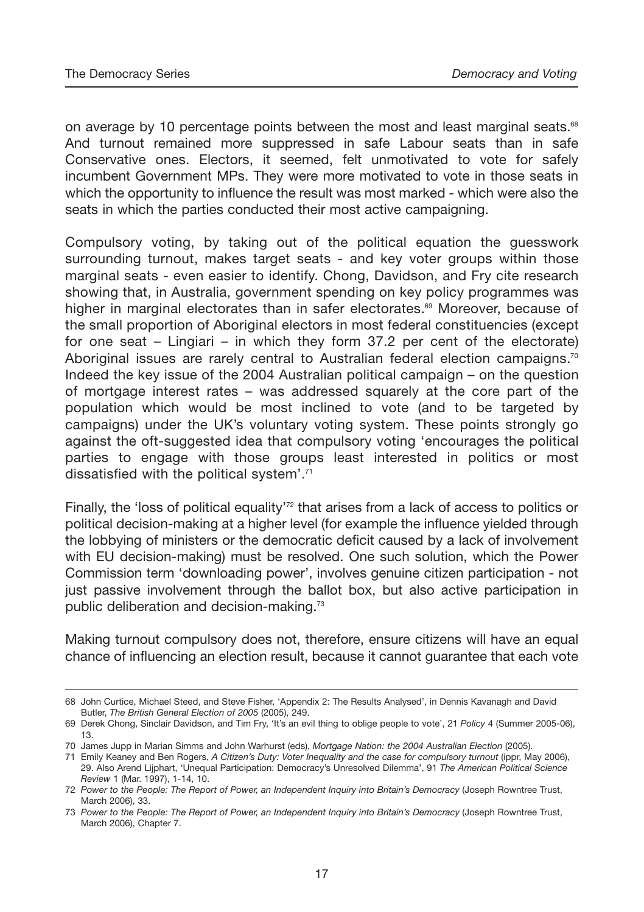on average by 10 percentage points between the most and least marginal seats.<sup>68</sup> And turnout remained more suppressed in safe Labour seats than in safe Conservative ones. Electors, it seemed, felt unmotivated to vote for safely incumbent Government MPs. They were more motivated to vote in those seats in which the opportunity to influence the result was most marked - which were also the seats in which the parties conducted their most active campaigning.

Compulsory voting, by taking out of the political equation the guesswork surrounding turnout, makes target seats - and key voter groups within those marginal seats - even easier to identify. Chong, Davidson, and Fry cite research showing that, in Australia, government spending on key policy programmes was higher in marginal electorates than in safer electorates.<sup>69</sup> Moreover, because of the small proportion of Aboriginal electors in most federal constituencies (except for one seat – Lingiari – in which they form 37.2 per cent of the electorate) Aboriginal issues are rarely central to Australian federal election campaigns.<sup>70</sup> Indeed the key issue of the 2004 Australian political campaign – on the question of mortgage interest rates – was addressed squarely at the core part of the population which would be most inclined to vote (and to be targeted by campaigns) under the UK's voluntary voting system. These points strongly go against the oft-suggested idea that compulsory voting 'encourages the political parties to engage with those groups least interested in politics or most dissatisfied with the political system'.71

Finally, the 'loss of political equality'<sup>72</sup> that arises from a lack of access to politics or political decision-making at a higher level (for example the influence yielded through the lobbying of ministers or the democratic deficit caused by a lack of involvement with EU decision-making) must be resolved. One such solution, which the Power Commission term 'downloading power', involves genuine citizen participation - not just passive involvement through the ballot box, but also active participation in public deliberation and decision-making.73

Making turnout compulsory does not, therefore, ensure citizens will have an equal chance of influencing an election result, because it cannot guarantee that each vote

<sup>68</sup> John Curtice, Michael Steed, and Steve Fisher, 'Appendix 2: The Results Analysed', in Dennis Kavanagh and David Butler, *The British General Election of 2005* (2005), 249.

<sup>69</sup> Derek Chong, Sinclair Davidson, and Tim Fry, 'It's an evil thing to oblige people to vote', 21 *Policy* 4 (Summer 2005-06), 13.

<sup>70</sup> James Jupp in Marian Simms and John Warhurst (eds), *Mortgage Nation: the 2004 Australian Election* (2005).

<sup>71</sup> Emily Keaney and Ben Rogers, *A Citizen's Duty: Voter Inequality and the case for compulsory turnout* (ippr, May 2006), 29. Also Arend Lijphart, 'Unequal Participation: Democracy's Unresolved Dilemma', 91 *The American Political Science Review* 1 (Mar. 1997), 1-14, 10.

<sup>72</sup> *Power to the People: The Report of Power, an Independent Inquiry into Britain's Democracy* (Joseph Rowntree Trust, March 2006), 33.

<sup>73</sup> *Power to the People: The Report of Power, an Independent Inquiry into Britain's Democracy* (Joseph Rowntree Trust, March 2006), Chapter 7.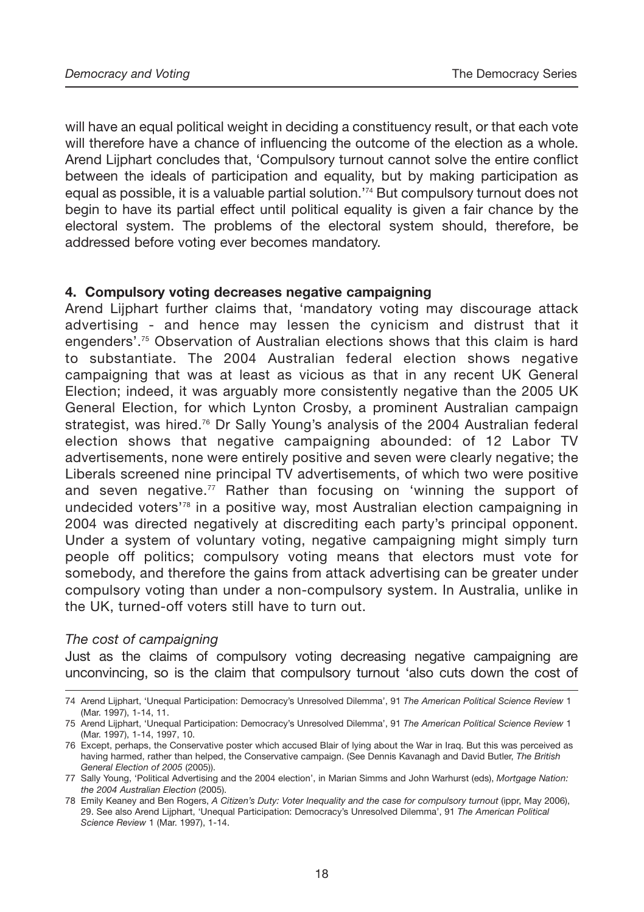will have an equal political weight in deciding a constituency result, or that each vote will therefore have a chance of influencing the outcome of the election as a whole. Arend Lijphart concludes that, 'Compulsory turnout cannot solve the entire conflict between the ideals of participation and equality, but by making participation as equal as possible, it is a valuable partial solution.'74 But compulsory turnout does not begin to have its partial effect until political equality is given a fair chance by the electoral system. The problems of the electoral system should, therefore, be addressed before voting ever becomes mandatory.

#### **4. Compulsory voting decreases negative campaigning**

Arend Lijphart further claims that, 'mandatory voting may discourage attack advertising - and hence may lessen the cynicism and distrust that it engenders'.<sup>75</sup> Observation of Australian elections shows that this claim is hard to substantiate. The 2004 Australian federal election shows negative campaigning that was at least as vicious as that in any recent UK General Election; indeed, it was arguably more consistently negative than the 2005 UK General Election, for which Lynton Crosby, a prominent Australian campaign strategist, was hired.76 Dr Sally Young's analysis of the 2004 Australian federal election shows that negative campaigning abounded: of 12 Labor TV advertisements, none were entirely positive and seven were clearly negative; the Liberals screened nine principal TV advertisements, of which two were positive and seven negative.<sup>77</sup> Rather than focusing on 'winning the support of undecided voters'78 in a positive way, most Australian election campaigning in 2004 was directed negatively at discrediting each party's principal opponent. Under a system of voluntary voting, negative campaigning might simply turn people off politics; compulsory voting means that electors must vote for somebody, and therefore the gains from attack advertising can be greater under compulsory voting than under a non-compulsory system. In Australia, unlike in the UK, turned-off voters still have to turn out.

#### *The cost of campaigning*

Just as the claims of compulsory voting decreasing negative campaigning are unconvincing, so is the claim that compulsory turnout 'also cuts down the cost of

<sup>74</sup> Arend Lijphart, 'Unequal Participation: Democracy's Unresolved Dilemma', 91 *The American Political Science Review* 1 (Mar. 1997), 1-14, 11.

<sup>75</sup> Arend Lijphart, 'Unequal Participation: Democracy's Unresolved Dilemma', 91 *The American Political Science Review* 1 (Mar. 1997), 1-14, 1997, 10.

<sup>76</sup> Except, perhaps, the Conservative poster which accused Blair of lying about the War in Iraq. But this was perceived as having harmed, rather than helped, the Conservative campaign. (See Dennis Kavanagh and David Butler, *The British General Election of 2005* (2005)).

<sup>77</sup> Sally Young, 'Political Advertising and the 2004 election', in Marian Simms and John Warhurst (eds), *Mortgage Nation: the 2004 Australian Election* (2005).

<sup>78</sup> Emily Keaney and Ben Rogers, *A Citizen's Duty: Voter Inequality and the case for compulsory turnout* (ippr, May 2006), 29. See also Arend Lijphart, 'Unequal Participation: Democracy's Unresolved Dilemma', 91 *The American Political Science Review* 1 (Mar. 1997), 1-14.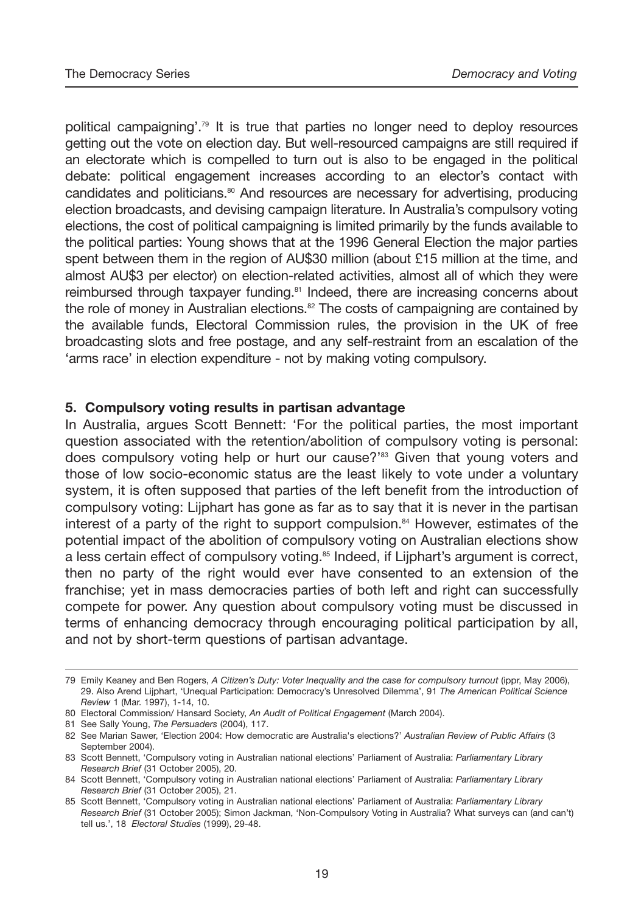political campaigning'.79 It is true that parties no longer need to deploy resources getting out the vote on election day. But well-resourced campaigns are still required if an electorate which is compelled to turn out is also to be engaged in the political debate: political engagement increases according to an elector's contact with candidates and politicians.<sup>80</sup> And resources are necessary for advertising, producing election broadcasts, and devising campaign literature. In Australia's compulsory voting elections, the cost of political campaigning is limited primarily by the funds available to the political parties: Young shows that at the 1996 General Election the major parties spent between them in the region of AU\$30 million (about £15 million at the time, and almost AU\$3 per elector) on election-related activities, almost all of which they were reimbursed through taxpayer funding.<sup>81</sup> Indeed, there are increasing concerns about the role of money in Australian elections.<sup>82</sup> The costs of campaigning are contained by the available funds, Electoral Commission rules, the provision in the UK of free broadcasting slots and free postage, and any self-restraint from an escalation of the 'arms race' in election expenditure - not by making voting compulsory.

#### **5. Compulsory voting results in partisan advantage**

In Australia, argues Scott Bennett: 'For the political parties, the most important question associated with the retention/abolition of compulsory voting is personal: does compulsory voting help or hurt our cause?'<sup>83</sup> Given that young voters and those of low socio-economic status are the least likely to vote under a voluntary system, it is often supposed that parties of the left benefit from the introduction of compulsory voting: Lijphart has gone as far as to say that it is never in the partisan interest of a party of the right to support compulsion.<sup>84</sup> However, estimates of the potential impact of the abolition of compulsory voting on Australian elections show a less certain effect of compulsory voting.<sup>85</sup> Indeed, if Lijphart's argument is correct, then no party of the right would ever have consented to an extension of the franchise; yet in mass democracies parties of both left and right can successfully compete for power. Any question about compulsory voting must be discussed in terms of enhancing democracy through encouraging political participation by all, and not by short-term questions of partisan advantage.

<sup>79</sup> Emily Keaney and Ben Rogers, *A Citizen's Duty: Voter Inequality and the case for compulsory turnout* (ippr, May 2006), 29. Also Arend Lijphart, 'Unequal Participation: Democracy's Unresolved Dilemma', 91 *The American Political Science Review* 1 (Mar. 1997), 1-14, 10.

<sup>80</sup> Electoral Commission/ Hansard Society, *An Audit of Political Engagement* (March 2004).

<sup>81</sup> See Sally Young, *The Persuaders* (2004), 117.

<sup>82</sup> See Marian Sawer, 'Election 2004: How democratic are Australia's elections?' *Australian Review of Public Affairs* (3 September 2004).

<sup>83</sup> Scott Bennett, 'Compulsory voting in Australian national elections' Parliament of Australia: *Parliamentary Library Research Brief* (31 October 2005), 20.

<sup>84</sup> Scott Bennett, 'Compulsory voting in Australian national elections' Parliament of Australia: *Parliamentary Library Research Brief* (31 October 2005), 21.

<sup>85</sup> Scott Bennett, 'Compulsory voting in Australian national elections' Parliament of Australia: *Parliamentary Library Research Brief* (31 October 2005); Simon Jackman, 'Non-Compulsory Voting in Australia? What surveys can (and can't) tell us.', 18 *Electoral Studies* (1999), 29-48.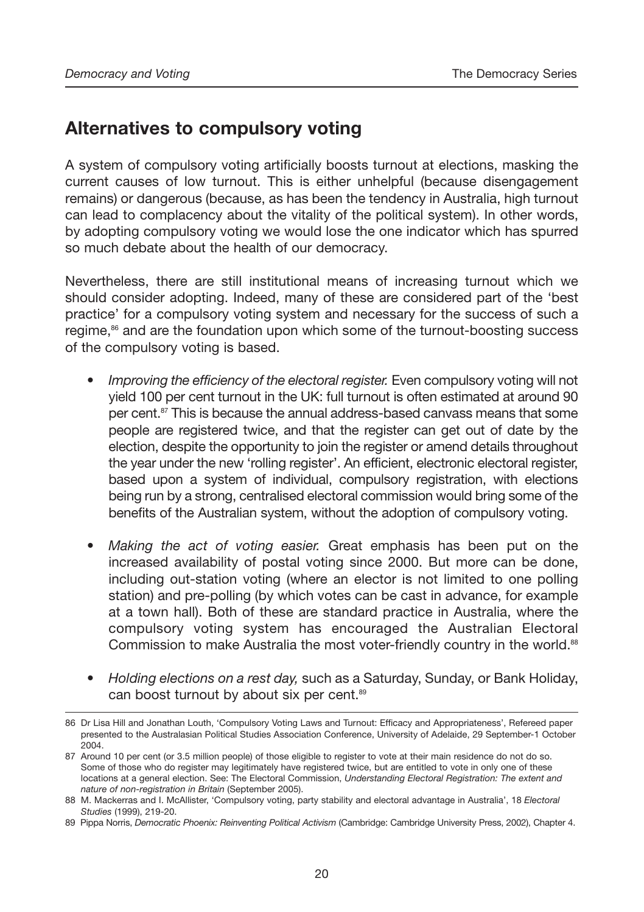# **Alternatives to compulsory voting**

A system of compulsory voting artificially boosts turnout at elections, masking the current causes of low turnout. This is either unhelpful (because disengagement remains) or dangerous (because, as has been the tendency in Australia, high turnout can lead to complacency about the vitality of the political system). In other words, by adopting compulsory voting we would lose the one indicator which has spurred so much debate about the health of our democracy.

Nevertheless, there are still institutional means of increasing turnout which we should consider adopting. Indeed, many of these are considered part of the 'best practice' for a compulsory voting system and necessary for the success of such a regime,<sup>86</sup> and are the foundation upon which some of the turnout-boosting success of the compulsory voting is based.

- *Improving the efficiency of the electoral register.* Even compulsory voting will not yield 100 per cent turnout in the UK: full turnout is often estimated at around 90 per cent.<sup>87</sup> This is because the annual address-based canvass means that some people are registered twice, and that the register can get out of date by the election, despite the opportunity to join the register or amend details throughout the year under the new 'rolling register'. An efficient, electronic electoral register, based upon a system of individual, compulsory registration, with elections being run by a strong, centralised electoral commission would bring some of the benefits of the Australian system, without the adoption of compulsory voting.
- *Making the act of voting easier.* Great emphasis has been put on the increased availability of postal voting since 2000. But more can be done, including out-station voting (where an elector is not limited to one polling station) and pre-polling (by which votes can be cast in advance, for example at a town hall). Both of these are standard practice in Australia, where the compulsory voting system has encouraged the Australian Electoral Commission to make Australia the most voter-friendly country in the world.<sup>88</sup>
- *Holding elections on a rest day,* such as a Saturday, Sunday, or Bank Holiday, can boost turnout by about six per cent.<sup>89</sup>

<sup>86</sup> Dr Lisa Hill and Jonathan Louth, 'Compulsory Voting Laws and Turnout: Efficacy and Appropriateness', Refereed paper presented to the Australasian Political Studies Association Conference, University of Adelaide, 29 September-1 October 2004.

<sup>87</sup> Around 10 per cent (or 3.5 million people) of those eligible to register to vote at their main residence do not do so. Some of those who do register may legitimately have registered twice, but are entitled to vote in only one of these locations at a general election. See: The Electoral Commission, *Understanding Electoral Registration: The extent and nature of non-registration in Britain* (September 2005).

<sup>88</sup> M. Mackerras and I. McAllister, 'Compulsory voting, party stability and electoral advantage in Australia', 18 *Electoral Studies* (1999), 219-20.

<sup>89</sup> Pippa Norris, *Democratic Phoenix: Reinventing Political Activism* (Cambridge: Cambridge University Press, 2002), Chapter 4.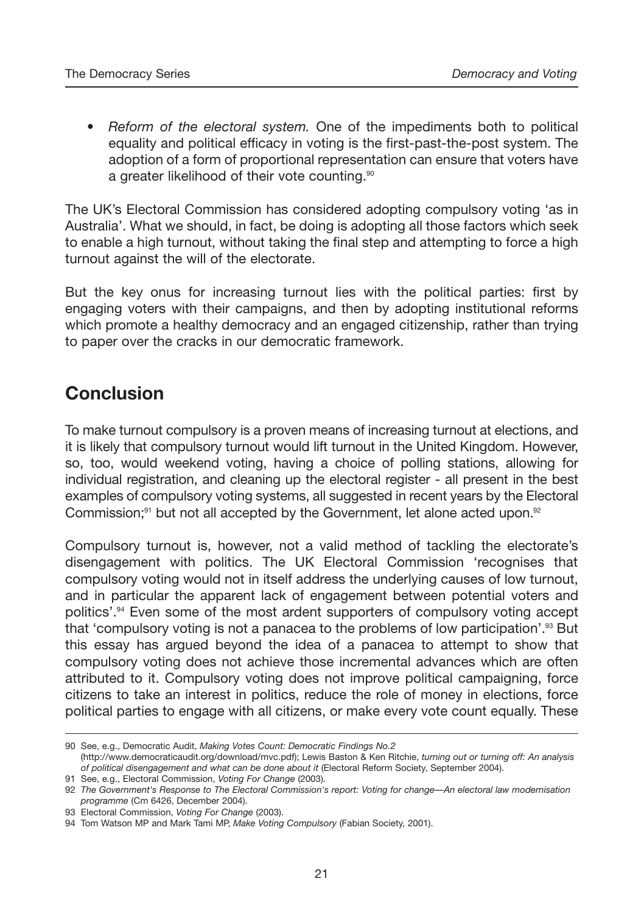• *Reform of the electoral system.* One of the impediments both to political equality and political efficacy in voting is the first-past-the-post system. The adoption of a form of proportional representation can ensure that voters have a greater likelihood of their vote counting.<sup>90</sup>

The UK's Electoral Commission has considered adopting compulsory voting 'as in Australia'. What we should, in fact, be doing is adopting all those factors which seek to enable a high turnout, without taking the final step and attempting to force a high turnout against the will of the electorate.

But the key onus for increasing turnout lies with the political parties: first by engaging voters with their campaigns, and then by adopting institutional reforms which promote a healthy democracy and an engaged citizenship, rather than trying to paper over the cracks in our democratic framework.

# **Conclusion**

To make turnout compulsory is a proven means of increasing turnout at elections, and it is likely that compulsory turnout would lift turnout in the United Kingdom. However, so, too, would weekend voting, having a choice of polling stations, allowing for individual registration, and cleaning up the electoral register - all present in the best examples of compulsory voting systems, all suggested in recent years by the Electoral Commission;<sup>91</sup> but not all accepted by the Government, let alone acted upon.<sup>92</sup>

Compulsory turnout is, however, not a valid method of tackling the electorate's disengagement with politics. The UK Electoral Commission 'recognises that compulsory voting would not in itself address the underlying causes of low turnout, and in particular the apparent lack of engagement between potential voters and politics'.94 Even some of the most ardent supporters of compulsory voting accept that 'compulsory voting is not a panacea to the problems of low participation'.<sup>93</sup> But this essay has argued beyond the idea of a panacea to attempt to show that compulsory voting does not achieve those incremental advances which are often attributed to it. Compulsory voting does not improve political campaigning, force citizens to take an interest in politics, reduce the role of money in elections, force political parties to engage with all citizens, or make every vote count equally. These

<sup>90</sup> See, e.g., Democratic Audit, *Making Votes Count: Democratic Findings No.2*

<sup>(</sup>http://www.democraticaudit.org/download/mvc.pdf); Lewis Baston & Ken Ritchie, *turning out or turning off: An analysis of political disengagement and what can be done about it* (Electoral Reform Society, September 2004).

<sup>91</sup> See, e.g., Electoral Commission, *Voting For Change* (2003).

<sup>92</sup> *The Government's Response to The Electoral Commission's report: Voting for change—An electoral law modernisation programme* (Cm 6426, December 2004).

<sup>93</sup> Electoral Commission, *Voting For Change* (2003).

<sup>94</sup> Tom Watson MP and Mark Tami MP, *Make Voting Compulsory* (Fabian Society, 2001).